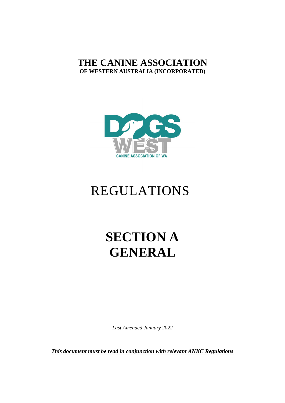# **THE CANINE ASSOCIATION OF WESTERN AUSTRALIA (INCORPORATED)**



# REGULATIONS

# **SECTION A GENERAL**

*Last Amended January 2022*

*This document must be read in conjunction with relevant ANKC Regulations*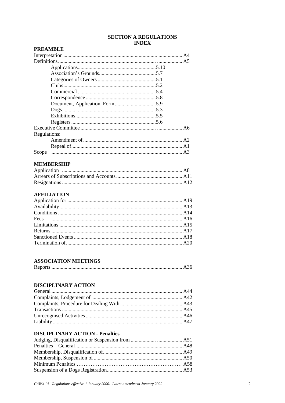# **SECTION A REGULATIONS INDEX**

#### **PREAMBLE**

| Regulations: |  |
|--------------|--|
|              |  |
|              |  |
| Scope        |  |

#### **MEMBERSHIP**

# **AFFILIATION**

# **ASSOCIATION MEETINGS**

|--|

# **DISCIPLINARY ACTION**

# **DISCIPLINARY ACTION - Penalties**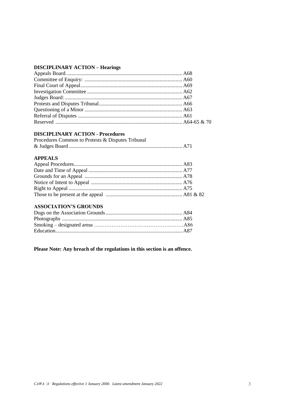# **DISCIPLINARY ACTION – Hearings**

# **DISCIPLINARY ACTION - Procedures**

| Procedures Common to Protests & Disputes Tribunal |  |
|---------------------------------------------------|--|
|                                                   |  |

# **APPEALS**

# **ASSOCIATION'S GROUNDS**

**Please Note: Any breach of the regulations in this section is an offence.**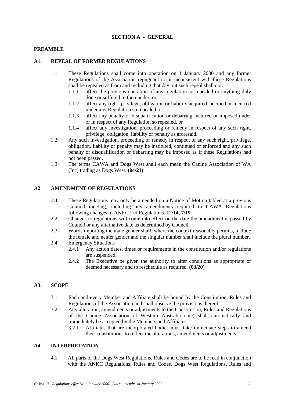# **SECTION A - GENERAL**

#### **PREAMBLE**

#### **A1. REPEAL OF FORMER REGULATIONS**

- 1.1 These Regulations shall come into operation on 1 January 2000 and any former Regulations of the Association repugnant to or inconsistent with these Regulations shall be repealed as from and including that day but such repeal shall not:
	- 1.1.1 affect the previous operation of any regulation so repealed or anything duly done or suffered to thereunder, or
	- 1.1.2 affect any right, privilege, obligation or liability acquired, accrued or incurred under any Regulation so repealed, or
	- 1.1.3 affect any penalty or disqualification or debarring incurred or imposed under or in respect of any Regulation so repealed, or
	- 1.1.4 affect any investigation, proceeding or remedy in respect of any such right, privilege, obligation, liability or penalty as aforesaid.
- 1.2 Any such investigation, proceeding or remedy in respect of any such right, privilege, obligation, liability or penalty may be instituted, continued or enforced and any such penalty or disqualification or debarring may be imposed as if these Regulations had not been passed.
- 1.3 The terms CAWA and Dogs West shall each mean the Canine Association of WA (Inc) trading as Dogs West. **(04/21)**

#### **A2 AMENDMENT OF REGULATIONS**

- 2.1 These Regulations may only be amended on a Notice of Motion tabled at a previous Council meeting, including any amendments required to CAWA Regulations following changes to ANKC Ltd Regulations. **12/14, 7/19**
- 2.2 Changes to regulations will come into effect on the date the amendment is passed by Council or any alternative date as determined by Council.
- 2.3 Words importing the male gender shall, where the context reasonably permits, include the female and neuter gender and the singular number shall include the plural number. 2.4 Emergency Situations
	- 2.4.1 Any action dates, times or requirements in the constitution and/or regulations are suspended.
	- 2.4.2 The Executive be given the authority to alter conditions as appropriate or deemed necessary and to reschedule as required. **(03/20)**

# **A3. SCOPE**

- 3.1 Each and every Member and Affiliate shall be bound by the Constitution, Rules and Regulations of the Association and shall observe the provisions thereof.
- 3.2 Any alteration, amendments or adjustments to the Constitution, Rules and Regulations of the Canine Association of Western Australia (Inc) shall automatically and immediately be accepted by the Members and Affiliates.
	- 3.2.1 Affiliates that are incorporated bodies must take immediate steps to amend their constitutions to reflect the alterations, amendments or adjustments.

# **A4. INTERPRETATION**

4.1 All parts of the Dogs West Regulations, Rules and Codes are to be read in conjunction with the ANKC Regulations, Rules and Codes. Dogs West Regulations, Rules and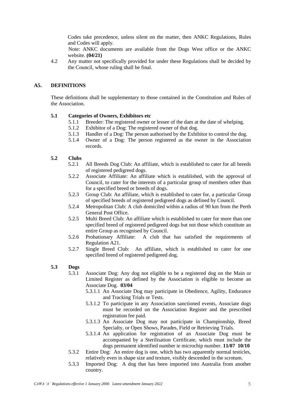Codes take precedence, unless silent on the matter, then ANKC Regulations, Rules and Codes will apply.

Note: ANKC documents are available from the Dogs West office or the ANKC website. **(04/21)**

4.2 Any matter not specifically provided for under these Regulations shall be decided by the Council, whose ruling shall be final.

# **A5. DEFINITIONS**

These definitions shall be supplementary to those contained in the Constitution and Rules of the Association.

#### **5.1 Categories of Owners, Exhibitors etc**

- 5.1.1 Breeder: The registered owner or lessee of the dam at the date of whelping.
- 5.1.2 Exhibitor of a Dog: The registered owner of that dog.<br>5.1.3 Handler of a Dog: The person authorised by the Exhibit
- Handler of a Dog: The person authorised by the Exhibitor to control the dog.
- 5.1.4 Owner of a Dog: The person registered as the owner in the Association records.

# **5.2 Clubs**

- 5.2.1 All Breeds Dog Club: An affiliate, which is established to cater for all breeds of registered pedigreed dogs.
- 5.2.2 Associate Affiliate: An affiliate which is established, with the approval of Council, to cater for the interests of a particular group of members other than for a specified breed or breeds of dogs.
- 5.2.3 Group Club: An affiliate, which is established to cater for, a particular Group of specified breeds of registered pedigreed dogs as defined by Council.
- 5.2.4 Metropolitan Club: A club domiciled within a radius of 90 km from the Perth General Post Office.
- 5.2.5 Multi Breed Club: An affiliate which is established to cater for more than one specified breed of registered pedigreed dogs but not those which constitute an entire Group as recognised by Council.
- 5.2.6 Probationary Affiliate: A club that has satisfied the requirements of Regulation A21.
- 5.2.7 Single Breed Club: An affiliate, which is established to cater for one specified breed of registered pedigreed dog.

#### **5.3 Dogs**

- 5.3.1 Associate Dog: Any dog not eligible to be a registered dog on the Main or Limited Register as defined by the Association is eligible to become an Associate Dog. **03/04**
	- 5.3.1.1 An Associate Dog may participate in Obedience, Agility, Endurance and Tracking Trials or Tests.
	- 5.3.1.2 To participate in any Association sanctioned events, Associate dogs must be recorded on the Association Register and the prescribed registration fee paid.
	- 5.3.1.3 An Associate Dog may not participate in Championship, Breed Specialty, or Open Shows, Parades, Field or Retrieving Trials.
	- 5.3.1.4 An application for registration of an Associate Dog must be accompanied by a Sterilisation Certificate, which must include the dogs permanent identified number ie microchip number. **11/07 10/10**
- 5.3.2 Entire Dog: An entire dog is one, which has two apparently normal testicles, relatively even in shape size and texture, visibly descended in the scrotum.
- 5.3.3 Imported Dog: A dog that has been imported into Australia from another country.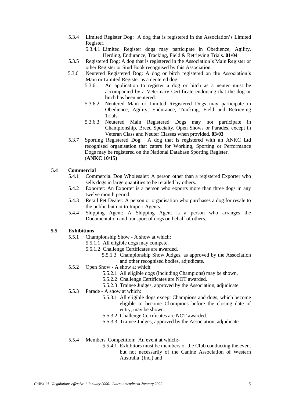- 5.3.4 Limited Register Dog: A dog that is registered in the Association's Limited Register.
	- 5.3.4.1 Limited Register dogs may participate in Obedience, Agility, Herding, Endurance, Tracking, Field & Retrieving Trials. **01/04**
- 5.3.5 Registered Dog: A dog that is registered in the Association's Main Register or other Register or Stud Book recognised by this Association.
- 5.3.6 Neutered Registered Dog: A dog or bitch registered on the Association's Main or Limited Register as a neutered dog.
	- 5.3.6.1 An application to register a dog or bitch as a neuter must be accompanied by a Veterinary Certificate endorsing that the dog or bitch has been neutered.
	- 5.3.6.2 Neutered Main or Limited Registered Dogs may participate in Obedience, Agility, Endurance, Tracking, Field and Retrieving Trials.
	- 5.3.6.3 Neutered Main Registered Dogs may not participate in Championship, Breed Specialty, Open Shows or Parades, except in Veteran Class and Neuter Classes when provided. **03/03**
- 5.3.7 Sporting Registered Dog: A dog that is registered with an ANKC Ltd recognised organisation that caters for Working, Sporting or Performance Dogs may be registered on the National Database Sporting Register. (**ANKC 10/15)**

# **5.4 Commercial**

- 5.4.1 Commercial Dog Wholesaler: A person other than a registered Exporter who sells dogs in large quantities to be retailed by others.
- 5.4.2 Exporter: An Exporter is a person who exports more than three dogs in any twelve month period.
- 5.4.3 Retail Pet Dealer: A person or organisation who purchases a dog for resale to the public but not to Import Agents.
- 5.4.4 Shipping Agent: A Shipping Agent is a person who arranges the Documentation and transport of dogs on behalf of others.

#### **5.5 Exhibitions**

- 5.5.1 Championship Show A show at which:
	- 5.5.1.1 All eligible dogs may compete.
	- 5.5.1.2 Challenge Certificates are awarded.
		- 5.5.1.3 Championship Show Judges, as approved by the Association and other recognised bodies, adjudicate.
- 5.5.2 Open Show A show at which:
	- 5.5.2.1 All eligible dogs (including Champions) may be shown.
	- 5.5.2.2 Challenge Certificates are NOT awarded.
	- 5.5.2.3 Trainee Judges, approved by the Association, adjudicate
- 5.5.3 Parade A show at which:
	- 5.5.3.1 All eligible dogs except Champions and dogs, which become eligible to become Champions before the closing date of entry, may be shown.
	- 5.5.3.2 Challenge Certificates are NOT awarded.
	- 5.5.3.3 Trainee Judges, approved by the Association, adjudicate.

#### 5.5.4 Members' Competition: An event at which:-

5.5.4.1 Exhibitors must be members of the Club conducting the event but not necessarily of the Canine Association of Western Australia (Inc.) and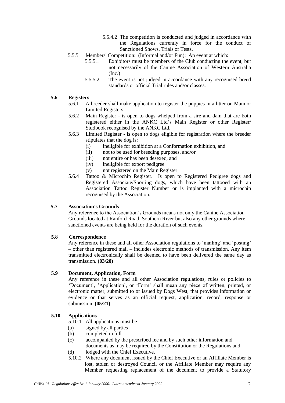- 5.5.4.2 The competition is conducted and judged in accordance with the Regulations currently in force for the conduct of Sanctioned Shows, Trials or Tests.
- 5.5.5 Members' Competition: (Informal and/or Fun): An event at which:<br>5.5.5.1 Exhibitors must be members of the Club conducting the
	- Exhibitors must be members of the Club conducting the event, but not necessarily of the Canine Association of Western Australia (Inc.)
	- 5.5.5.2 The event is not judged in accordance with any recognised breed standards or official Trial rules and/or classes.

# **5.6 Registers**

- 5.6.1 A breeder shall make application to register the puppies in a litter on Main or Limited Registers.
- 5.6.2 Main Register is open to dogs whelped from a sire and dam that are both registered either in the ANKC Ltd's Main Register or other Register/ Studbook recognised by the ANKC Ltd.
- 5.6.3 Limited Register is open to dogs eligible for registration where the breeder stipulates that the dog is:
	- (i) ineligible for exhibition at a Conformation exhibition, and
	- (ii) not to be used for breeding purposes, and/or
	- (iii) not entire or has been desexed, and
	- (iv) ineligible for export pedigree
	- (v) not registered on the Main Register
- 5.6.4 Tattoo & Microchip Register. Is open to Registered Pedigree dogs and Registered Associate/Sporting dogs, which have been tattooed with an Association Tattoo Register Number or is implanted with a microchip recognised by the Association.

#### **5.7 Association's Grounds**

Any reference to the Association's Grounds means not only the Canine Association Grounds located at Ranford Road, Southern River but also any other grounds where sanctioned events are being held for the duration of such events.

#### **5.8 Correspondence**

Any reference in these and all other Association regulations to 'mailing' and 'posting' – other than registered mail – includes electronic methods of transmission. Any item transmitted electronically shall be deemed to have been delivered the same day as transmission. **(03/20)**

#### **5.9 Document, Application, Form**

Any reference in these and all other Association regulations, rules or policies to 'Document', 'Application', or 'Form' shall mean any piece of written, printed, or electronic matter, submitted to or issued by Dogs West, that provides information or evidence or that serves as an official request, application, record, response or submission. **(05/21)**

# **5.10 Applications**

5.10.1 All applications must be

- (a) signed by all parties
- (b) completed in full
- (c) accompanied by the prescribed fee and by such other information and

documents as may be required by the Constitution or the Regulations and (d) lodged with the Chief Executive.

5.10.2 Where any document issued by the Chief Executive or an Affiliate Member is lost, stolen or destroyed Council or the Affiliate Member may require any Member requesting replacement of the document to provide a Statutory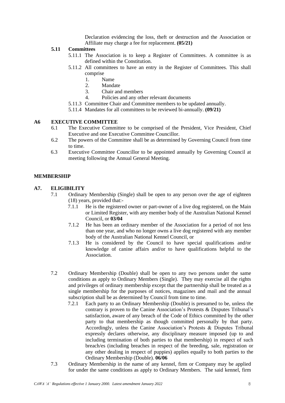Declaration evidencing the loss, theft or destruction and the Association or Affiliate may charge a fee for replacement. **(05/21)**

# **5.11 Committees**

- 5.11.1 The Association is to keep a Register of Committees. A committee is as defined within the Constitution.
- 5.11.2 All committees to have an entry in the Register of Committees. This shall comprise
	- 1. Name<br>2. Manda
	- **Mandate**
	- 3. Chair and members
	- 4. Policies and any other relevant documents
- 5.11.3 Committee Chair and Committee members to be updated annually.
- 5.11.4 Mandates for all committees to be reviewed bi-annually. **(09/21)**

# **A6 EXECUTIVE COMMITTEE**

- 6.1 The Executive Committee to be comprised of the President, Vice President, Chief Executive and one Executive Committee Councillor.
- 6.2 The powers of the Committee shall be as determined by Governing Council from time to time.
- 6.3 Executive Committee Councillor to be appointed annually by Governing Council at meeting following the Annual General Meeting.

# **MEMBERSHIP**

# **A7. ELIGIBILITY**

- 7.1 Ordinary Membership (Single) shall be open to any person over the age of eighteen (18) years, provided that:-
	- 7.1.1 He is the registered owner or part-owner of a live dog registered, on the Main or Limited Register, with any member body of the Australian National Kennel Council, or **03/04**
	- 7.1.2 He has been an ordinary member of the Association for a period of not less than one year, and who no longer owns a live dog registered with any member body of the Australian National Kennel Council, or
	- 7.1.3 He is considered by the Council to have special qualifications and/or knowledge of canine affairs and/or to have qualifications helpful to the Association.
- 7.2 Ordinary Membership (Double) shall be open to any two persons under the same conditions as apply to Ordinary Members (Single). They may exercise all the rights and privileges of ordinary membership except that the partnership shall be treated as a single membership for the purposes of notices, magazines and mail and the annual subscription shall be as determined by Council from time to time.
	- 7.2.1 Each party to an Ordinary Membership (Double) is presumed to be, unless the contrary is proven to the Canine Association's Protests & Disputes Tribunal's satisfaction, aware of any breach of the Code of Ethics committed by the other party to that membership as though committed personally by that party. Accordingly, unless the Canine Association's Protests & Disputes Tribunal expressly declares otherwise, any disciplinary measure imposed (up to and including termination of both parties to that membership) in respect of such breach/es (including breaches in respect of the breeding, sale, registration or any other dealing in respect of puppies) applies equally to both parties to the Ordinary Membership (Double). **06/06**
- 7.3 Ordinary Membership in the name of any kennel, firm or Company may be applied for under the same conditions as apply to Ordinary Members. The said kennel, firm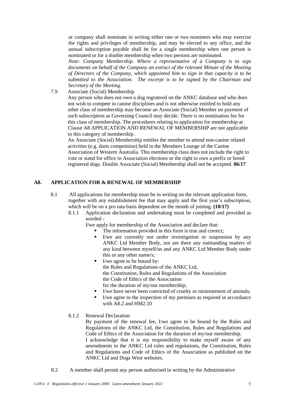or company shall nominate in writing either one or two nominees who may exercise the rights and privileges of membership, and may be elected to any office, and the annual subscription payable shall be for a single membership when one person is nominated or for a double membership when two persons are nominated.

*Note: Company Membership. Where a representative of a Company is to sign documents on behalf of the Company an extract of the relevant Minute of the Meeting of Directors of the Company, which appointed him to sign in that capacity is to be submitted to the Association. The excerpt is to be signed by the Chairman and Secretary of the Meeting.*

7.9 Associate (Social) Membership

Any person who does not own a dog registered on the ANKC database and who does not wish to compete in canine disciplines and is not otherwise entitled to hold any other class of membership may become an Associate (Social) Member on payment of such subscription as Governing Council may decide. There is no nomination fee for this class of membership. The procedures relating to application for membership at Clause A8 APPLICATION AND RENEWAL OF MEMBERSHIP are not applicable to this category of membership.

An Associate (Social) Membership entitles the member to attend non-canine related activities (e.g. darts competition) held in the Members Lounge of the Canine Association of Western Australia. This membership class does not include the right to vote or stand for office in Association elections or the right to own a prefix or breed registered dogs. Double Associate (Social) Membership shall not be accepted. **06/17**

# **A8. APPLICATION FOR & RENEWAL OF MEMBERSHIP**

- 8.1 All applications for membership must be in writing on the relevant application form, together with any establishment fee that may apply and the first year's subscription, which will be on a pro rata basis dependent on the month of joining. **(10/17)** 
	- 8.1.1 Application declaration and undertaking must be completed and provided as worded -

I/we apply for membership of the Association and declare that:

- The information provided in this form is true and correct;
- I/we are currently not under investigation or suspension by any ANKC Ltd Member Body, nor are there any outstanding matters of any kind between myself/us and any ANKC Ltd Member Body under this or any other name/s;
- I/we agree to be bound by: the Rules and Regulations of the ANKC Ltd, the Constitution, Rules and Regulations of the Association the Code of Ethics of the Association for the duration of my/our membership;
- I/we have never been convicted of cruelty or mistreatment of animals; I/we agree to the inspection of my premises as required in accordance with A8.2 and HM2.10
- 8.1.2 Renewal Declaration

By payment of the renewal fee, I/we agree to be bound by the Rules and Regulations of the ANKC Ltd, the Constitution, Rules and Regulations and Code of Ethics of the Association for the duration of my/our membership. I acknowledge that it is my responsibility to make myself aware of any amendments to the ANKC Ltd rules and regulations, the Constitution, Rules and Regulations and Code of Ethics of the Association as published on the ANKC Ltd and Dogs West websites.

8.2 A member shall permit any person authorised in writing by the Administrative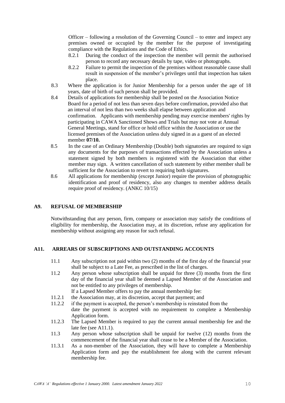Officer – following a resolution of the Governing Council – to enter and inspect any premises owned or occupied by the member for the purpose of investigating compliance with the Regulations and the Code of Ethics.

- 8.2.1 During the conduct of the inspection the member will permit the authorised person to record any necessary details by tape, video or photographs.
- 8.2.2 Failure to permit the inspection of the premises without reasonable cause shall result in suspension of the member's privileges until that inspection has taken place.
- 8.3 Where the application is for Junior Membership for a person under the age of 18 years, date of birth of such person shall be provided.
- 8.4 Details of applications for membership shall be posted on the Association Notice Board for a period of not less than seven days before confirmation, provided also that an interval of not less than two weeks shall elapse between application and confirmation. Applicants with membership pending may exercise members' rights by participating in CAWA Sanctioned Shows and Trials but may not vote at Annual General Meetings, stand for office or hold office within the Association or use the licensed premises of the Association unless duly signed in as a guest of an elected member **07/10.**
- 8.5 In the case of an Ordinary Membership (Double) both signatories are required to sign any documents for the purposes of transactions effected by the Association unless a statement signed by both members is registered with the Association that either member may sign. A written cancellation of such statement by either member shall be sufficient for the Association to revert to requiring both signatures.
- 8.6 All applications for membership (except Junior) require the provision of photographic identification and proof of residency, also any changes to member address details require proof of residency. (ANKC 10/15)

#### **A9. REFUSAL OF MEMBERSHIP**

Notwithstanding that any person, firm, company or association may satisfy the conditions of eligibility for membership, the Association may, at its discretion, refuse any application for membership without assigning any reason for such refusal.

# **A11. ARREARS OF SUBSCRIPTIONS AND OUTSTANDING ACCOUNTS**

- 11.1 Any subscription not paid within two (2) months of the first day of the financial year shall be subject to a Late Fee, as prescribed in the list of charges.
- 11.2 Any person whose subscription shall be unpaid for three (3) months from the first day of the financial year shall be deemed a Lapsed Member of the Association and not be entitled to any privileges of membership.
	- If a Lapsed Member offers to pay the annual membership fee:
- 11.2.1 the Association may, at its discretion, accept that payment; and
- 11.2.2 if the payment is accepted, the person's membership is reinstated from the date the payment is accepted with no requirement to complete a Membership Application form.
- 11.2.3 The Lapsed Member is required to pay the current annual membership fee and the late fee (see A11.1).
- 11.3 Any person whose subscription shall be unpaid for twelve (12) months from the commencement of the financial year shall cease to be a Member of the Association.
- 11.3.1 As a non-member of the Association, they will have to complete a Membership Application form and pay the establishment fee along with the current relevant membership fee.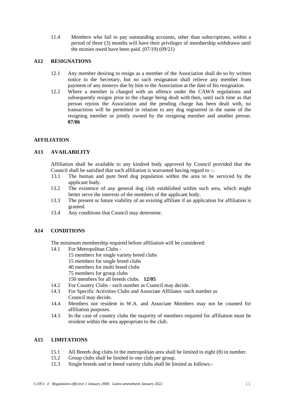11.4 Members who fail to pay outstanding accounts, other than subscriptions, within a period of three (3) months will have their privileges of membership withdrawn until the monies owed have been paid. (07/19) (09/21)

# **A12 RESIGNATIONS**

- 12.1 Any member desiring to resign as a member of the Association shall do so by written notice to the Secretary, but no such resignation shall relieve any member from payment of any moneys due by him to the Association at the date of his resignation.
- 12.2 Where a member is charged with an offence under the CAWA regulations and subsequently resigns prior to the charge being dealt with then, until such time as that person rejoins the Association and the pending charge has been dealt with, no transactions will be permitted in relation to any dog registered in the name of the resigning member or jointly owned by the resigning member and another person. **07/06**

# **AFFILIATION**

# **A13 AVAILABILITY**

Affiliation shall be available to any kindred body approved by Council provided that the Council shall be satisfied that such affiliation is warranted having regard to :-.

- 13.1 The human and pure bred dog population within the area to be serviced by the applicant body.
- 13.2 The existence of any general dog club established within such area, which might better serve the interests of the members of the applicant body.
- 13.3 The present or future viability of an existing affiliate if an application for affiliation is granted.
- 13.4 Any conditions that Council may determine.

#### **A14 CONDITIONS**

The minimum membership required before affiliation will be considered:

- 14.1 For Metropolitan Clubs
	- 15 members for single variety breed clubs
	- 15 members for single breed clubs
	- 40 members for multi breed clubs
	- 75 members for group clubs
	- 150 members for all breeds clubs. **12/05**
- 14.2 For Country Clubs such number as Council may decide.
- 14.3 For Specific Activities Clubs and Associate Affiliates -such number as Council may decide.
- 14.4 Members not resident in W.A. and Associate Members may not be counted for affiliation purposes.
- 14.5 In the case of country clubs the majority of members required for affiliation must be resident within the area appropriate to the club.

#### **A15 LIMITATIONS**

- 15.1 All Breeds dog clubs in the metropolitan area shall be limited to eight (8) in number.
- 15.2 Group clubs shall be limited to one club per group.
- 15.3 Single breeds and or breed variety clubs shall be limited as follows:-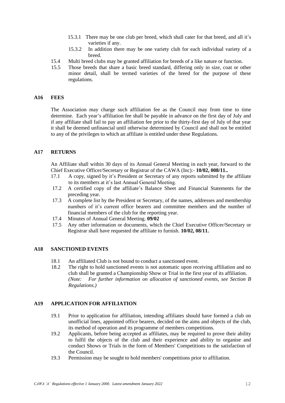- 15.3.1 There may be one club per breed, which shall cater for that breed, and all it's varieties if any.
- 15.3.2 In addition there may be one variety club for each individual variety of a breed.
- 15.4 Multi breed clubs may be granted affiliation for breeds of a like nature or function.
- 15.5 Those breeds that share a basic breed standard, differing only in size, coat or other minor detail, shall be termed varieties of the breed for the purpose of these regulations.

#### **A16 FEES**

The Association may charge such affiliation fee as the Council may from time to time determine. Each year's affiliation fee shall be payable in advance on the first day of July and if any affiliate shall fail to pay an affiliation fee prior to the thirty-first day of July of that year it shall be deemed unfinancial until otherwise determined by Council and shall not be entitled to any of the privileges to which an affiliate is entitled under these Regulations.

#### **A17 RETURNS**

An Affiliate shall within 30 days of its Annual General Meeting in each year, forward to the Chief Executive Officer/Secretary or Registrar of the CAWA (Inc):- **10/02, 008/11..**

- 17.1 A copy, signed by it's President or Secretary of any reports submitted by the affiliate to its members at it's last Annual General Meeting.
- 17.2 A certified copy of the affiliate's Balance Sheet and Financial Statements for the preceding year.
- 17.3 A complete list by the President or Secretary, of the names, addresses and membership numbers of it's current office bearers and committee members and the number of financial members of the club for the reporting year.
- 17.4 Minutes of Annual General Meeting. **09/02**
- 17.5 Any other information or documents, which the Chief Executive Officer/Secretary or Registrar shall have requested the affiliate to furnish. **10/02, 08/11.**

#### **A18 SANCTIONED EVENTS**

- 18.1 An affiliated Club is not bound to conduct a sanctioned event.
- 18.2 The right to hold sanctioned events is not automatic upon receiving affiliation and no club shall be granted a Championship Show or Trial in the first year of its affiliation. *(Note: For further information on allocation of sanctioned events, see Section B Regulations.)*

#### **A19 APPLICATION FOR AFFILIATION**

- 19.1 Prior to application for affiliation, intending affiliates should have formed a club on unofficial lines, appointed office bearers, decided on the aims and objects of the club, its method of operation and its programme of members competitions.
- 19.2 Applicants, before being accepted as affiliates, may be required to prove their ability to fulfil the objects of the club and their experience and ability to organise and conduct Shows or Trials in the form of Members' Competitions to the satisfaction of the Council.
- 19.3 Permission may be sought to hold members' competitions prior to affiliation.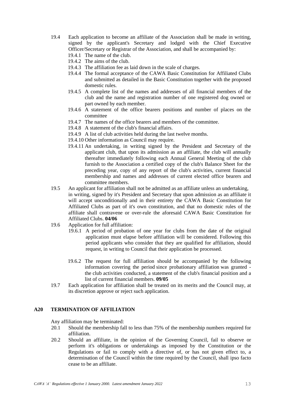- 19.4 Each application to become an affiliate of the Association shall be made in writing, signed by the applicant's Secretary and lodged with the Chief Executive Officer/Secretary or Registrar of the Association, and shall be accompanied by:
	- 19.4.1 The name of the club.
	- 19.4.2 The aims of the club.
	- 19.4.3 The affiliation fee as laid down in the scale of charges.
	- 19.4.4 The formal acceptance of the CAWA Basic Constitution for Affiliated Clubs and submitted as detailed in the Basic Constitution together with the proposed domestic rules.
	- 19.4.5 A complete list of the names and addresses of all financial members of the club and the name and registration number of one registered dog owned or part owned by each member.
	- 19.4.6 A statement of the office bearers positions and number of places on the committee
	- 19.4.7 The names of the office bearers and members of the committee.
	- 19.4.8 A statement of the club's financial affairs.
	- 19.4.9 A list of club activities held during the last twelve months.
	- 19.4.10 Other information as Council may require.
	- 19.4.11 An undertaking, in writing signed by the President and Secretary of the applicant club, that upon its admission as an affiliate, the club will annually thereafter immediately following each Annual General Meeting of the club furnish to the Association a certified copy of the club's Balance Sheet for the preceding year, copy of any report of the club's activities, current financial membership and names and addresses of current elected office bearers and committee members.
- 19.5 An applicant for affiliation shall not be admitted as an affiliate unless an undertaking, in writing, signed by it's President and Secretary that upon admission as an affiliate it will accept unconditionally and in their entirety the CAWA Basic Constitution for Affiliated Clubs as part of it's own constitution, and that no domestic rules of the affiliate shall contravene or over-rule the aforesaid CAWA Basic Constitution for Affiliated Clubs. **04/06**
- 19.6 Application for full affiliation:
	- 19.6.1 A period of probation of one year for clubs from the date of the original application must elapse before affiliation will be considered. Following this period applicants who consider that they are qualified for affiliation, should request, in writing to Council that their application be processed.
	- 19.6.2 The request for full affiliation should be accompanied by the following information covering the period since probationary affiliation was granted the club activities conducted, a statement of the club's financial position and a list of current financial members. **09/05**
- 19.7 Each application for affiliation shall be treated on its merits and the Council may, at its discretion approve or reject such application.

# **A20 TERMINATION OF AFFILIATION**

Any affiliation may be terminated:

- 20.1 Should the membership fall to less than 75% of the membership numbers required for affiliation.
- 20.2 Should an affiliate, in the opinion of the Governing Council, fail to observe or perform it's obligations or undertakings as imposed by the Constitution or the Regulations or fail to comply with a directive of, or has not given effect to, a determination of the Council within the time required by the Council, shall ipso facto cease to be an affiliate.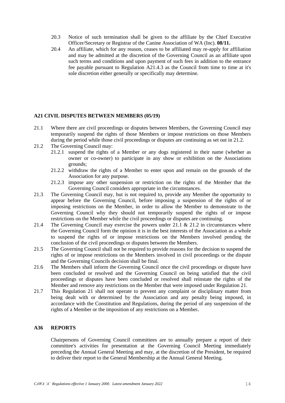- 20.3 Notice of such termination shall be given to the affiliate by the Chief Executive Officer/Secretary or Registrar of the Canine Association of WA (Inc). **08/11.**
- 20.4 An affiliate, which for any reason, ceases to be affiliated may re-apply for affiliation and may be admitted at the discretion of the Governing Council as an affiliate upon such terms and conditions and upon payment of such fees in addition to the entrance fee payable pursuant to Regulation A21.4.3 as the Council from time to time at it's sole discretion either generally or specifically may determine.

#### **A21 CIVIL DISPUTES BETWEEN MEMBERS (05/19)**

- 21.1 Where there are civil proceedings or disputes between Members, the Governing Council may temporarily suspend the rights of those Members or impose restrictions on those Members during the period while those civil proceedings or disputes are continuing as set out in 21.2.
- 21.2 The Governing Council may:
	- 21.2.1 suspend the rights of a Member or any dogs registered in their name (whether as owner or co-owner) to participate in any show or exhibition on the Associations grounds;
	- 21.2.2 withdraw the rights of a Member to enter upon and remain on the grounds of the Association for any purpose.
	- 21.2.3 impose any other suspension or restriction on the rights of the Member that the Governing Council considers appropriate in the circumstances.
- 21.3 The Governing Council may, but is not required to, provide any Member the opportunity to appear before the Governing Council, before imposing a suspension of the rights of or imposing restrictions on the Member, in order to allow the Member to demonstrate to the Governing Council why they should not temporarily suspend the rights of or impose restrictions on the Member while the civil proceedings or disputes are continuing.
- 21.4 The Governing Council may exercise the powers under 21.1 & 21.2 in circumstances where the Governing Council form the opinion it is in the best interests of the Association as a whole to suspend the rights of or impose restrictions on the Members involved pending the conclusion of the civil proceedings or disputes between the Members.
- 21.5 The Governing Council shall not be required to provide reasons for the decision to suspend the rights of or impose restrictions on the Members involved in civil proceedings or the dispute and the Governing Councils decision shall be final.
- 21.6 The Members shall inform the Governing Council once the civil proceedings or dispute have been concluded or resolved and the Governing Council on being satisfied that the civil proceedings or disputes have been concluded or resolved shall reinstate the rights of the Member and remove any restrictions on the Member that were imposed under Regulation 21.
- 21.7 This Regulation 21 shall not operate to prevent any complaint or disciplinary matter from being dealt with or determined by the Association and any penalty being imposed, in accordance with the Constitution and Regulations, during the period of any suspension of the rights of a Member or the imposition of any restrictions on a Member**.**

# **A36 REPORTS**

Chairpersons of Governing Council committees are to annually prepare a report of their committee's activities for presentation at the Governing Council Meeting immediately preceding the Annual General Meeting and may, at the discretion of the President, be required to deliver their report to the General Membership at the Annual General Meeting.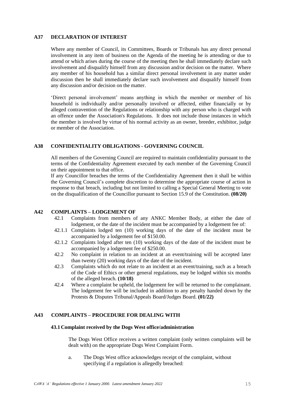# **A37 DECLARATION OF INTEREST**

Where any member of Council, its Committees, Boards or Tribunals has any direct personal involvement in any item of business on the Agenda of the meeting he is attending or due to attend or which arises during the course of the meeting then he shall immediately declare such involvement and disqualify himself from any discussion and/or decision on the matter. Where any member of his household has a similar direct personal involvement in any matter under discussion then he shall immediately declare such involvement and disqualify himself from any discussion and/or decision on the matter.

'Direct personal involvement' means anything in which the member or member of his household is individually and/or personally involved or affected, either financially or by alleged contravention of the Regulations or relationship with any person who is charged with an offence under the Association's Regulations. It does not include those instances in which the member is involved by virtue of his normal activity as an owner, breeder, exhibitor, judge or member of the Association.

# **A38 CONFIDENTIALITY OBLIGATIONS - GOVERNING COUNCIL**

All members of the Governing Council are required to maintain confidentiality pursuant to the terms of the Confidentiality Agreement executed by each member of the Governing Council on their appointment to that office.

If any Councillor breaches the terms of the Confidentiality Agreement then it shall be within the Governing Council's complete discretion to determine the appropriate course of action in response to that breach, including but not limited to calling a Special General Meeting to vote on the disqualification of the Councillor pursuant to Section 15.9 of the Constitution. **(08/20)**

#### **A42 COMPLAINTS – LODGEMENT OF**

- 42.1 Complaints from members of any ANKC Member Body, at either the date of lodgement, or the date of the incident must be accompanied by a lodgement fee of:
- 42.1.1 Complaints lodged ten (10) working days of the date of the incident must be accompanied by a lodgement fee of \$150.00.
- 42.1.2 Complaints lodged after ten (10) working days of the date of the incident must be accompanied by a lodgement fee of \$250.00.
- 42.2 No complaint in relation to an incident at an event/training will be accepted later than twenty (20) working days of the date of the incident.
- 42.3 Complaints which do not relate to an incident at an event/training, such as a breach of the Code of Ethics or other general regulations, may be lodged within six months of the alleged breach. **(10/18)**
- 42.4 Where a complaint be upheld, the lodgement fee will be returned to the complainant. The lodgement fee will be included in addition to any penalty handed down by the Protests & Disputes Tribunal/Appeals Board/Judges Board. **(01/22)**

#### **A43 COMPLAINTS – PROCEDURE FOR DEALING WITH**

#### **43.1 Complaint received by the Dogs West office/administration**

The Dogs West Office receives a written complaint (only written complaints will be dealt with) on the appropriate Dogs West Complaint Form.

a. The Dogs West office acknowledges receipt of the complaint, without specifying if a regulation is allegedly breached: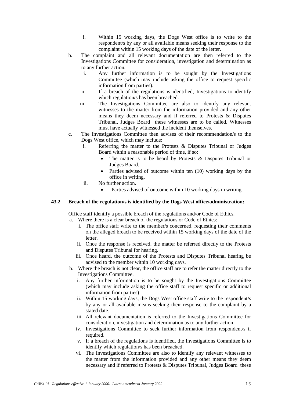- i. Within 15 working days, the Dogs West office is to write to the respondent/s by any or all available means seeking their response to the complaint within 15 working days of the date of the letter.
- b. The complaint and all relevant documentation are then referred to the Investigations Committee for consideration, investigation and determination as to any further action.
	- i. Any further information is to be sought by the Investigations Committee (which may include asking the office to request specific information from parties).
	- ii. If a breach of the regulations is identified, Investigations to identify which regulation/s has been breached.
	- iii. The Investigations Committee are also to identify any relevant witnesses to the matter from the information provided and any other means they deem necessary and if referred to Protests & Disputes Tribunal, Judges Board these witnesses are to be called. Witnesses must have actually witnessed the incident themselves.
- c. The Investigations Committee then advises of their recommendation/s to the Dogs West office, which may include:
	- i. Referring the matter to the Protests & Disputes Tribunal or Judges Board within a reasonable period of time, if so:
		- The matter is to be heard by Protests & Disputes Tribunal or Judges Board.
		- Parties advised of outcome within ten (10) working days by the office in writing.
	- ii. No further action.
		- Parties advised of outcome within 10 working days in writing.

# **43.2 Breach of the regulation/s is identified by the Dogs West office/administration:**

Office staff identify a possible breach of the regulations and/or Code of Ethics.

- a. Where there is a clear breach of the regulations or Code of Ethics:
	- i. The office staff write to the member/s concerned, requesting their comments on the alleged breach to be received within 15 working days of the date of the letter.
	- ii. Once the response is received, the matter be referred directly to the Protests and Disputes Tribunal for hearing.
	- iii. Once heard, the outcome of the Protests and Disputes Tribunal hearing be advised to the member within 10 working days.
- b. Where the breach is not clear, the office staff are to refer the matter directly to the Investigations Committee.
	- i. Any further information is to be sought by the Investigations Committee (which may include asking the office staff to request specific or additional information from parties).
	- ii. Within 15 working days, the Dogs West office staff write to the respondent/s by any or all available means seeking their response to the complaint by a stated date.
	- iii. All relevant documentation is referred to the Investigations Committee for consideration, investigation and determination as to any further action.
	- iv. Investigations Committee to seek further information from respondent/s if required.
	- v. If a breach of the regulations is identified, the Investigations Committee is to identify which regulation/s has been breached.
	- vi. The Investigations Committee are also to identify any relevant witnesses to the matter from the information provided and any other means they deem necessary and if referred to Protests & Disputes Tribunal, Judges Board these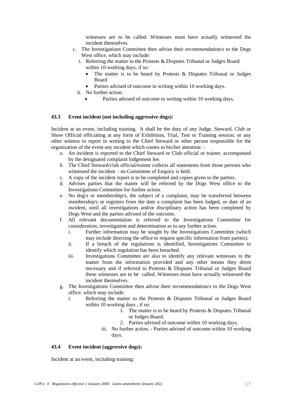witnesses are to be called. Witnesses must have actually witnessed the incident themselves.

- c. The Investigations Committee then advise their recommendation/s to the Dogs West office, which may include:
	- i. Referring the matter to the Protests & Disputes Tribunal or Judges Board within 10 working days, if so:
		- The matter is to be heard by Protests  $\&$  Disputes Tribunal or Judges Board
		- Parties advised of outcome in writing within 10 working days.
	- ii. No further action.
		- Parties advised of outcome in writing within 10 working days.

# **43.3 Event incident (not including aggressive dogs):**

Incident at an event, including training. It shall be the duty of any Judge, Steward, Club or Show Official officiating at any form of Exhibition, Trial, Test or Training session, or any other witness to report in writing to the Chief Steward or other person responsible for the organisation of the event any incident which comes to his/her attention: -

- a. An incident is reported to the Chief Steward or Club official or trainer, accompanied by the designated complaint lodgement fee.
- b. The Chief Steward/club official/trainer collects all statements from those persons who witnessed the incident – no Committee of Enquiry is held.
- c. A copy of the incident report is to be completed and copies given to the parties.
- d. Advises parties that the matter will be referred by the Dogs West office to the Investigations Committee for further action.
- e. No dog/s or membership/s, the subject of a complaint, may be transferred between membership/s or registers from the date a complaint has been lodged, or date of an incident, until all investigations and/or disciplinary action has been completed by Dogs West and the parties advised of the outcome.
- f. All relevant documentation is referred to the Investigations Committee for consideration, investigation and determination as to any further action.
	- i. Further information may be sought by the Investigations Committee (which may include directing the office to request specific information from parties).
	- ii. If a breach of the regulations is identified, Investigations Committee to identify which regulation has been breached.
	- iii. Investigations Committee are also to identify any relevant witnesses to the matter from the information provided and any other means they deem necessary and if referred to Protests & Disputes Tribunal or Judges Board these witnesses are to be called. Witnesses must have actually witnessed the incident themselves.
- g. The Investigations Committee then advise their recommendation/s to the Dogs West office, which may include:
	- i. Referring the matter to the Protests & Disputes Tribunal or Judges Board within 10 working days, if so:
		- 1. The matter is to be heard by Protests & Disputes Tribunal or Judges Board.
		- 2. Parties advised of outcome within 10 working days.
		- iii. No further action. Parties advised of outcome within 10 working days.

# **43.4 Event incident (aggressive dogs):**

Incident at an event, including training: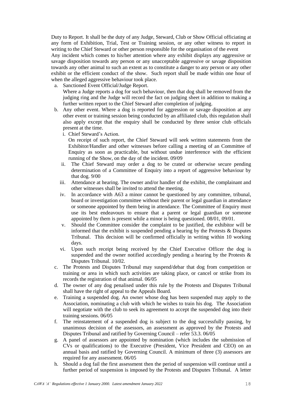Duty to Report. It shall be the duty of any Judge, Steward, Club or Show Official officiating at any form of Exhibition, Trial, Test or Training session, or any other witness to report in writing to the Chief Steward or other person responsible for the organisation of the event

Any incident which comes to his/her attention where any exhibit displays any aggressive or savage disposition towards any person or any unacceptable aggressive or savage disposition towards any other animal to such an extent as to constitute a danger to any person or any other exhibit or the efficient conduct of the show. Such report shall be made within one hour of when the alleged aggressive behaviour took place.

- a. Sanctioned Event Official/Judge Report. Where a Judge reports a dog for such behaviour, then that dog shall be removed from the judging ring and the Judge will record the fact on judging sheet in addition to making a further written report to the Chief Steward after completion of judging.
- b. Any other event. Where a dog is reported for aggression or savage disposition at any other event or training session being conducted by an affiliated club, this regulation shall also apply except that the enquiry shall be conducted by three senior club officials present at the time.
	- i. Chief Steward's Action.

On receipt of such report, the Chief Steward will seek written statements from the Exhibitor/Handler and other witnesses before calling a meeting of an Committee of Enquiry as soon as practicable, but without undue interference with the efficient running of the Show, on the day of the incident. 09/09

- ii. The Chief Steward may order a dog to be crated or otherwise secure pending determination of a Committee of Enquiry into a report of aggressive behaviour by that dog. 9/00
- iii. Attendance at hearing. The owner and/or handler of the exhibit, the complainant and other witnesses shall be invited to attend the meeting.
- iv. In accordance with A63 a minor cannot be questioned by any committee, tribunal, board or investigation committee without their parent or legal guardian in attendance or someone appointed by them being in attendance. The Committee of Enquiry must use its best endeavours to ensure that a parent or legal guardian or someone appointed by them is present while a minor is being questioned. 08/01, 09/01.
- v. Should the Committee consider the complaint to be justified, the exhibitor will be informed that the exhibit is suspended pending a hearing by the Protests & Disputes Tribunal. This decision will be confirmed officially in writing within 10 working days.
- vi. Upon such receipt being received by the Chief Executive Officer the dog is suspended and the owner notified accordingly pending a hearing by the Protests  $\&$ Disputes Tribunal. 10/02.
- c. The Protests and Disputes Tribunal may suspend/debar that dog from competition or training or area in which such activities are taking place, or cancel or strike from its records the registration of that animal. 06/05
- d. The owner of any dog penalised under this rule by the Protests and Disputes Tribunal shall have the right of appeal to the Appeals Board.
- e. Training a suspended dog. An owner whose dog has been suspended may apply to the Association, nominating a club with which he wishes to train his dog. The Association will negotiate with the club to seek its agreement to accept the suspended dog into their training sessions. 06/05
- f. The reinstatement of a suspended dog is subject to the dog successfully passing, by unanimous decision of the assessors, an assessment as approved by the Protests and Disputes Tribunal and ratified by Governing Council – refer 53.3. 06/05
- g. A panel of assessors are appointed by nomination (which includes the submission of CVs or qualifications) to the Executive (President, Vice President and CEO) on an annual basis and ratified by Governing Council. A minimum of three (3) assessors are required for any assessment. 06/05
- h. Should a dog fail the first assessment then the period of suspension will continue until a further period of suspension is imposed by the Protests and Disputes Tribunal. A letter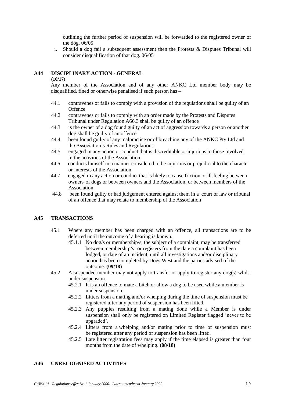outlining the further period of suspension will be forwarded to the registered owner of the dog. 06/05

i. Should a dog fail a subsequent assessment then the Protests & Disputes Tribunal will consider disqualification of that dog. 06/05

# **A44 DISCIPLINARY ACTION - GENERAL**

#### **(10/17)**

Any member of the Association and of any other ANKC Ltd member body may be disqualified, fined or otherwise penalised if such person has –

- 44.1 contravenes or fails to comply with a provision of the regulations shall be guilty of an **Offence**
- 44.2 contravenes or fails to comply with an order made by the Protests and Disputes Tribunal under Regulation A66.3 shall be guilty of an offence
- 44.3 is the owner of a dog found guilty of an act of aggression towards a person or another dog shall be guilty of an offence
- 44.4 been found guilty of any malpractice or of breaching any of the ANKC Pty Ltd and the Association's Rules and Regulations
- 44.5 engaged in any action or conduct that is discreditable or injurious to those involved in the activities of the Association
- 44.6 conducts himself in a manner considered to be injurious or prejudicial to the character or interests of the Association
- 44.7 engaged in any action or conduct that is likely to cause friction or ill-feeling between owners of dogs or between owners and the Association, or between members of the Association
- 44.8 been found guilty or had judgement entered against them in a court of law or tribunal of an offence that may relate to membership of the Association

# **A45 TRANSACTIONS**

- 45.1 Where any member has been charged with an offence, all transactions are to be deferred until the outcome of a hearing is known.
	- 45.1.1 No dog/s or membership/s, the subject of a complaint, may be transferred between membership/s or registers from the date a complaint has been lodged, or date of an incident, until all investigations and/or disciplinary action has been completed by Dogs West and the parties advised of the outcome. **(09/18)**
- 45.2 A suspended member may not apply to transfer or apply to register any dog(s) whilst under suspension.
	- 45.2.1 It is an offence to mate a bitch or allow a dog to be used while a member is under suspension.
	- 45.2.2 Litters from a mating and/or whelping during the time of suspension must be registered after any period of suspension has been lifted.
	- 45.2.3 Any puppies resulting from a mating done while a Member is under suspension shall only be registered on Limited Register flagged 'never to be upgraded'.
	- 45.2.4 Litters from a whelping and/or mating prior to time of suspension must be registered after any period of suspension has been lifted.
	- 45.2.5 Late litter registration fees may apply if the time elapsed is greater than four months from the date of whelping. **(08/18)**

#### **A46 UNRECOGNISED ACTIVITIES**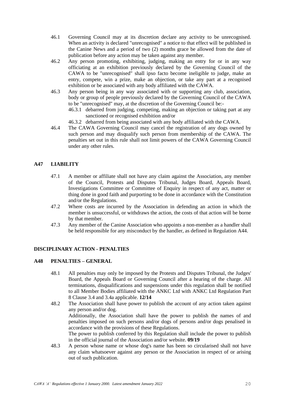- 46.1 Governing Council may at its discretion declare any activity to be unrecognised. When an activity is declared "unrecognised" a notice to that effect will be published in the Canine News and a period of two (2) months grace be allowed from the date of publication before any action may be taken against any member.
- 46.2 Any person promoting, exhibiting, judging, making an entry for or in any way officiating at an exhibition previously declared by the Governing Council of the CAWA to be "unrecognised" shall ipso facto become ineligible to judge, make an entry, compete, win a prize, make an objection, or take any part at a recognised exhibition or be associated with any body affiliated with the CAWA.
- 46.3 Any person being in any way associated with or supporting any club, association, body or group of people previously declared by the Governing Council of the CAWA to be "unrecognised" may, at the discretion of the Governing Council be:-
	- 46.3.1 debarred from judging, competing, making an objection or taking part at any sanctioned or recognised exhibition and/or
	- 46.3.2 debarred from being associated with any body affiliated with the CAWA.
- 46.4 The CAWA Governing Council may cancel the registration of any dogs owned by such person and may disqualify such person from membership of the CAWA. The penalties set out in this rule shall not limit powers of the CAWA Governing Council under any other rules.

# **A47 LIABILITY**

- 47.1 A member or affiliate shall not have any claim against the Association, any member of the Council, Protests and Disputes Tribunal, Judges Board, Appeals Board, Investigations Committee or Committee of Enquiry in respect of any act, matter or thing done in good faith and purporting to be done in accordance with the Constitution and/or the Regulations.
- 47.2 Where costs are incurred by the Association in defending an action in which the member is unsuccessful, or withdraws the action, the costs of that action will be borne by that member.
- 47.3 Any member of the Canine Association who appoints a non-member as a handler shall be held responsible for any misconduct by the handler, as defined in Regulation A44.

# **DISCIPLINARY ACTION - PENALTIES**

# **A48 PENALTIES – GENERAL**

- 48.1 All penalties may only be imposed by the Protests and Disputes Tribunal, the Judges' Board, the Appeals Board or Governing Council after a hearing of the charge. All terminations, disqualifications and suspensions under this regulation shall be notified to all Member Bodies affiliated with the ANKC Ltd with ANKC Ltd Regulation Part 8 Clause 3.4 and 3.4a applicable. **12/14**
- 48.2 The Association shall have power to publish the account of any action taken against any person and/or dog. Additionally, the Association shall have the power to publish the names of and penalties imposed on such persons and/or dogs of persons and/or dogs penalised in accordance with the provisions of these Regulations. The power to publish conferred by this Regulation shall include the power to publish in the official journal of the Association and/or website. **09/19**
- 48.3 A person whose name or whose dog's name has been so circularised shall not have any claim whatsoever against any person or the Association in respect of or arising out of such publication.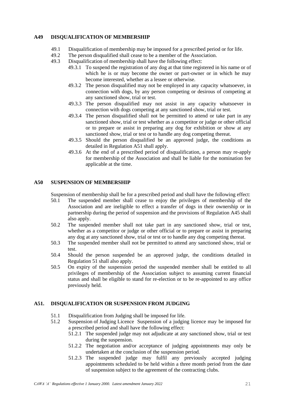#### **A49 DISQUALIFICATION OF MEMBERSHIP**

- 49.1 Disqualification of membership may be imposed for a prescribed period or for life.
- 49.2 The person disqualified shall cease to be a member of the Association.<br>49.3 Disqualification of membership shall have the following effect:
- Disqualification of membership shall have the following effect:
	- 49.3.1 To suspend the registration of any dog at that time registered in his name or of which he is or may become the owner or part-owner or in which he may become interested, whether as a lessee or otherwise.
	- 49.3.2 The person disqualified may not be employed in any capacity whatsoever, in connection with dogs, by any person competing or desirous of competing at any sanctioned show, trial or test.
	- 49.3.3 The person disqualified may not assist in any capacity whatsoever in connection with dogs competing at any sanctioned show, trial or test.
	- 49.3.4 The person disqualified shall not be permitted to attend or take part in any sanctioned show, trial or test whether as a competitor or judge or other official or to prepare or assist in preparing any dog for exhibition or show at any sanctioned show, trial or test or to handle any dog competing thereat.
	- 49.3.5 Should the person disqualified be an approved judge, the conditions as detailed in Regulation A51 shall apply.
	- 49.3.6 At the end of a prescribed period of disqualification, a person may re-apply for membership of the Association and shall be liable for the nomination fee applicable at the time.

# **A50 SUSPENSION OF MEMBERSHIP**

Suspension of membership shall be for a prescribed period and shall have the following effect:

- 50.1 The suspended member shall cease to enjoy the privileges of membership of the Association and are ineligible to effect a transfer of dogs in their ownership or in partnership during the period of suspension and the provisions of Regulation A45 shall also apply.
- 50.2 The suspended member shall not take part in any sanctioned show, trial or test, whether as a competitor or judge or other official or to prepare or assist in preparing any dog at any sanctioned show, trial or test or to handle any dog competing thereat.
- 50.3 The suspended member shall not be permitted to attend any sanctioned show, trial or test.
- 50.4 Should the person suspended be an approved judge, the conditions detailed in Regulation 51 shall also apply.
- 50.5 On expiry of the suspension period the suspended member shall be entitled to all privileges of membership of the Association subject to assuming current financial status and shall be eligible to stand for re-election or to be re-appointed to any office previously held.

#### **A51. DISQUALIFICATION OR SUSPENSION FROM JUDGING**

- 51.1 Disqualification from Judging shall be imposed for life.
- 51.2 Suspension of Judging Licence Suspension of a judging licence may be imposed for a prescribed period and shall have the following effect:
	- 51.2.1 The suspended judge may not adjudicate at any sanctioned show, trial or test during the suspension.
	- 51.2.2 The negotiation and/or acceptance of judging appointments may only be undertaken at the conclusion of the suspension period.
	- 51.2.3 The suspended judge may fulfil any previously accepted judging appointments scheduled to be held within a three month period from the date of suspension subject to the agreement of the contracting clubs.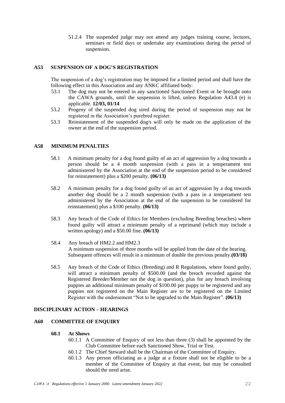51.2.4 The suspended judge may not attend any judges training course, lectures, seminars or field days or undertake any examinations during the period of suspension.

# **A53 SUSPENSION OF A DOG'S REGISTRATION**

The suspension of a dog's registration may be imposed for a limited period and shall have the following effect in this Association and any ANKC affiliated body:

- 53.1 The dog may not be entered in any sanctioned Sanctioned Event or be brought onto the CAWA grounds, until the suspension is lifted, unless Regulation A43.4 (e) is applicable. **12/03, 01/14**
- 53.2 Progeny of the suspended dog sired during the period of suspension may not be registered in the Association's purebred register.
- 53.3 Reinstatement of the suspended dog/s will only be made on the application of the owner at the end of the suspension period.

#### **A58 MINIMUM PENALTIES**

- 58.1 A minimum penalty for a dog found guilty of an act of aggression by a dog towards a person should be a 4 month suspension (with a pass in a temperament test administered by the Association at the end of the suspension period to be considered for reinstatement) plus a \$200 penalty. **(06/13)**
- 58.2 A minimum penalty for a dog found guilty of an act of aggression by a dog towards another dog should be a 2 month suspension (with a pass in a temperament test administered by the Association at the end of the suspension to be considered for reinstatement) plus a \$100 penalty. **(06/13)**
- 58.3 Any breach of the Code of Ethics for Members (excluding Breeding breaches) where found guilty will attract a minimum penalty of a reprimand (which may include a written apology) and a \$50.00 fine. **(06/13)**
- 58.4 Any breach of HM2.2 and HM2.3 A minimum suspension of three months will be applied from the date of the hearing. Subsequent offences will result in a minimum of double the previous penalty.**(03/18)**
- 58.5 Any breach of the Code of Ethics (Breeding) and R Regulations, where found guilty, will attract a minimum penalty of \$500.00 (and the breach recorded against the Registered Breeder/Member not the dog in question), plus for any breach involving puppies an additional minimum penalty of \$100.00 per puppy to be registered and any puppies not registered on the Main Register are to be registered on the Limited Register with the endorsement "Not to be upgraded to the Main Register". **(06/13)**

# **DISCIPLINARY ACTION – HEARINGS**

#### **A60 COMMITTEE OF ENQUIRY**

#### **60.1 At Shows**

- 60.1.1 A Committee of Enquiry of not less than three (3) shall be appointed by the Club Committee before each Sanctioned Show, Trial or Test.
- 60.1.2 The Chief Steward shall be the Chairman of the Committee of Enquiry.
- 60.1.3 Any person officiating as a judge at a fixture shall not be eligible to be a member of the Committee of Enquiry at that event, but may be consulted should the need arise.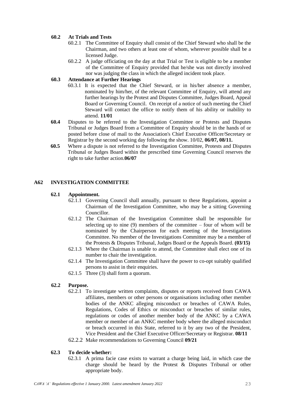# **60.2 At Trials and Tests**

- 60.2.1 The Committee of Enquiry shall consist of the Chief Steward who shall be the Chairman, and two others at least one of whom, wherever possible shall be a licensed Judge.
- 60.2.2 A judge officiating on the day at that Trial or Test is eligible to be a member of the Committee of Enquiry provided that he/she was not directly involved nor was judging the class in which the alleged incident took place.

# **60.3 Attendance at Further Hearings**

- 60.3.1 It is expected that the Chief Steward, or in his/her absence a member, nominated by him/her, of the relevant Committee of Enquiry, will attend any further hearings by the Protest and Disputes Committee, Judges Board, Appeal Board or Governing Council. On receipt of a notice of such meeting the Chief Steward will contact the office to notify them of his ability or inability to attend. **11/01**
- **60.4** Disputes to be referred to the Investigation Committee or Protests and Disputes Tribunal or Judges Board from a Committee of Enquiry should be in the hands of or posted before close of mail to the Association's Chief Executive Officer/Secretary or Registrar by the second working day following the show. 10/02, **06/07, 08/11.**
- **60.5** Where a dispute is not referred to the Investigation Committee, Protests and Disputes Tribunal or Judges Board within the prescribed time Governing Council reserves the right to take further action.**06/07**

# **A62 INVESTIGATION COMMITTEE**

#### **62.1 Appointment.**

- 62.1.1 Governing Council shall annually, pursuant to these Regulations, appoint a Chairman of the Investigation Committee, who may be a sitting Governing Councillor.
- 62.1.2 The Chairman of the Investigation Committee shall be responsible for selecting up to nine  $(9)$  members of the committee – four of whom will be nominated by the Chairperson for each meeting of the Investigations Committee. No member of the Investigations Committee may be a member of the Protests & Disputes Tribunal, Judges Board or the Appeals Board. **(03/15)**
- 62.1.3 Where the Chairman is unable to attend, the Committee shall elect one of its number to chair the investigation.
- 62.1.4 The Investigation Committee shall have the power to co-opt suitably qualified persons to assist in their enquiries.
- 62.1.5 Three (3) shall form a quorum.

#### **62.2 Purpose.**

- 62.2.1 To investigate written complaints, disputes or reports received from CAWA affiliates, members or other persons or organisations including other member bodies of the ANKC alleging misconduct or breaches of CAWA Rules, Regulations, Codes of Ethics or misconduct or breaches of similar rules, regulations or codes of another member body of the ANKC by a CAWA member or member of an ANKC member body where the alleged misconduct or breach occurred in this State, referred to it by any two of the President, Vice President and the Chief Executive Officer/Secretary or Registrar. **08/11**
- 62.2.2 Make recommendations to Governing Council **09/21**

#### **62.3 To decide whether:**

62.3.1 A prima facie case exists to warrant a charge being laid, in which case the charge should be heard by the Protest & Disputes Tribunal or other appropriate body.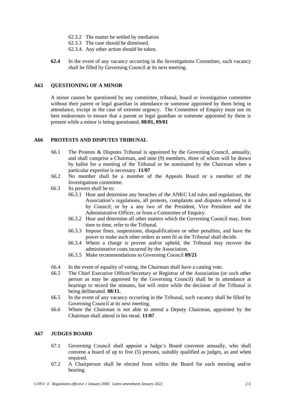- 62.3.2 The matter be settled by mediation
- 62.3.3 The case should be dismissed.
- 62.3.4. Any other action should be taken.
- **62.4** In the event of any vacancy occurring in the Investigations Committee, such vacancy shall be filled by Governing Council at its next meeting.

#### **A63 QUESTIONING OF A MINOR**

A minor cannot be questioned by any committee, tribunal, board or investigation committee without their parent or legal guardian in attendance or someone appointed by them being in attendance, except in the case of extreme urgency. The Committee of Enquiry must use its best endeavours to ensure that a parent or legal guardian or someone appointed by them is present while a minor is being questioned. **08/01, 09/01**

#### **A66 PROTESTS AND DISPUTES TRIBUNAL**

- 66.1 The Protests & Disputes Tribunal is appointed by the Governing Council, annually, and shall comprise a Chairman, and nine (9) members, three of whom will be drawn by ballot for a meeting of the Tribunal or be nominated by the Chairman when a particular expertise is necessary. **11/07**
- 66.2 No member shall be a member of the Appeals Board or a member of the Investigations committee.
- 66.3 Its powers shall be to:
	- 66.3.1 Hear and determine any breaches of the ANKC Ltd rules and regulations, the Association's regulations, all protests, complaints and disputes referred to it by Council; or by a any two of the President, Vice President and the Administrative Officer, or from a Committee of Enquiry.
	- 66.3.2 Hear and determine all other matters which the Governing Council may, from time to time, refer to the Tribunal.
	- 66.3.3 Impose fines, suspensions, disqualifications or other penalties, and have the power to make such other orders as seen fit as the Tribunal shall decide.
	- 66.3.4 Where a charge is proven and/or upheld, the Tribunal may recover the administrative costs incurred by the Association.
	- 66.3.5 Make recommendations to Governing Council **09/21**
- 66.4 In the event of equality of voting, the Chairman shall have a casting vote.
- 66.5 The Chief Executive Officer/Secretary or Registrar of the Association (or such other person as may be approved by the Governing Council) shall be in attendance at hearings to record the minutes, but will retire while the decision of the Tribunal is being deliberated. **08/11.**
- 66.5 In the event of any vacancy occurring in the Tribunal, such vacancy shall be filled by Governing Council at its next meeting.
- 66.6 Where the Chairman is not able to attend a Deputy Chairman, appointed by the Chairman shall attend in his stead. **11/07**

#### **A67 JUDGES BOARD**

- 67.1 Governing Council shall appoint a Judge's Board convenor annually, who shall convene a board of up to five (5) persons, suitably qualified as judges, as and when required.
- 67.2 A Chairperson shall be elected from within the Board for each meeting and/or hearing.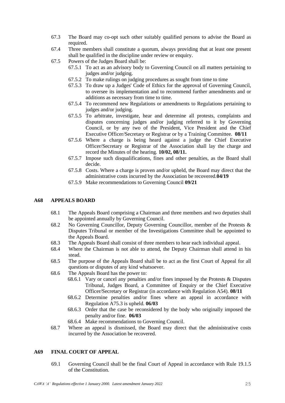- 67.3 The Board may co-opt such other suitably qualified persons to advise the Board as required.
- 67.4 Three members shall constitute a quorum, always providing that at least one present shall be qualified in the discipline under review or enquiry.
- 67.5 Powers of the Judges Board shall be:
	- 67.5.1 To act as an advisory body to Governing Council on all matters pertaining to judges and/or judging.
	- 67.5.2 To make rulings on judging procedures as sought from time to time
	- 67.5.3 To draw up a Judges' Code of Ethics for the approval of Governing Council, to oversee its implementation and to recommend further amendments and or additions as necessary from time to time.
	- 67.5.4 To recommend new Regulations or amendments to Regulations pertaining to judges and/or judging.
	- 67.5.5 To arbitrate, investigate, hear and determine all protests, complaints and disputes concerning judges and/or judging referred to it by Governing Council, or by any two of the President, Vice President and the Chief Executive Officer/Secretary or Registrar or by a Training Committee. **08/11**
	- 67.5.6 Where a charge is being heard against a judge the Chief Executive Officer/Secretary or Registrar of the Association shall lay the charge and record the Minutes of the hearing. **10/02, 08/11.**
	- 67.5.7 Impose such disqualifications, fines and other penalties, as the Board shall decide.
	- 67.5.8 Costs. Where a charge is proven and/or upheld, the Board may direct that the administrative costs incurred by the Association be recovered.**04/19**
	- 67.5.9 Make recommendations to Governing Council **09/21**

#### **A68 APPEALS BOARD**

- 68.1 The Appeals Board comprising a Chairman and three members and two deputies shall be appointed annually by Governing Council.
- 68.2 No Governing Councillor, Deputy Governing Councillor, member of the Protests & Disputes Tribunal or member of the Investigations Committee shall be appointed to the Appeals Board.
- 68.3 The Appeals Board shall consist of three members to hear each individual appeal.
- 68.4 Where the Chairman is not able to attend, the Deputy Chairman shall attend in his stead.
- 68.5 The purpose of the Appeals Board shall be to act as the first Court of Appeal for all questions or disputes of any kind whatsoever.
- 68.6 The Appeals Board has the power to:
	- 68.6.1 Vary or cancel any penalties and/or fines imposed by the Protests & Disputes Tribunal, Judges Board, a Committee of Enquiry or the Chief Executive Officer/Secretary or Registrar (in accordance with Regulation A54). **08/11**
	- 68.6.2 Determine penalties and/or fines where an appeal in accordance with Regulation A75.3 is upheld. **06/03**
	- 68.6.3 Order that the case be reconsidered by the body who originally imposed the penalty and/or fine. **06/03**
	- 68.6.4 Make recommendations to Governing Council.
- 68.7 Where an appeal is dismissed, the Board may direct that the administrative costs incurred by the Association be recovered.

#### **A69 FINAL COURT OF APPEAL**

69.1 Governing Council shall be the final Court of Appeal in accordance with Rule 19.1.5 of the Constitution.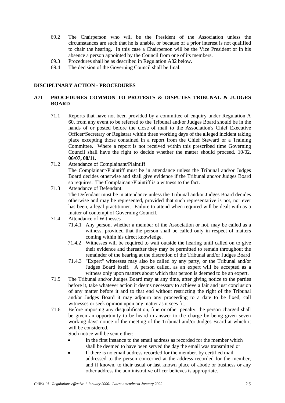- 69.2 The Chairperson who will be the President of the Association unless the circumstances are such that he is unable, or because of a prior interest is not qualified to chair the hearing. In this case a Chairperson will be the Vice President or in his absence a person appointed by the Council from one of its members.
- 69.3 Procedures shall be as described in Regulation A82 below.
- 69.4 The decision of the Governing Council shall be final.

#### **DISCIPLINARY ACTION - PROCEDURES**

# **A71 PROCEDURES COMMON TO PROTESTS & DISPUTES TRIBUNAL & JUDGES BOARD**

- 71.1 Reports that have not been provided by a committee of enquiry under Regulation A 60. from any event to be referred to the Tribunal and/or Judges Board should be in the hands of or posted before the close of mail to the Association's Chief Executive Officer/Secretary or Registrar within three working days of the alleged incident taking place excepting those contained in a report from the Chief Steward or a Training Committee. Where a report is not received within this prescribed time Governing Council shall have the right to decide whether the matter should proceed. 10/02**, 06/07, 08/11.**
- 71.2 Attendance of Complainant/Plaintiff

The Complainant/Plaintiff must be in attendance unless the Tribunal and/or Judges Board decides otherwise and shall give evidence if the Tribunal and/or Judges Board so requires. The Complainant/Plaintiff is a witness to the fact.

- 71.3 Attendance of Defendant. The Defendant must be in attendance unless the Tribunal and/or Judges Board decides otherwise and may be represented, provided that such representative is not, nor ever has been, a legal practitioner. Failure to attend when required will be dealt with as a matter of contempt of Governing Council.
- 71.4 Attendance of Witnesses
	- 71.4.1 Any person, whether a member of the Association or not, may be called as a witness, provided that the person shall be called only in respect of matters coming within his direct knowledge.
	- 71.4.2 Witnesses will be required to wait outside the hearing until called on to give their evidence and thereafter they may be permitted to remain throughout the remainder of the hearing at the discretion of the Tribunal and/or Judges Board
	- 71.4.3 "Expert" witnesses may also be called by any party, or the Tribunal and/or Judges Board itself. A person called, as an expert will be accepted as a witness only upon matters about which that person is deemed to be an expert.
- 71.5 The Tribunal and/or Judges Board may at any time, after giving notice to the parties before it, take whatever action it deems necessary to achieve a fair and just conclusion of any matter before it and to that end without restricting the right of the Tribunal and/or Judges Board it may adjourn any proceeding to a date to be fixed, call witnesses or seek opinion upon any matter as it sees fit.
- 71.6 Before imposing any disqualification, fine or other penalty, the person charged shall be given an opportunity to be heard in answer to the charge by being given seven working days' notice of the meeting of the Tribunal and/or Judges Board at which it will be considered.

Such notice will be sent either:

- In the first instance to the email address as recorded for the member which shall be deemed to have been served the day the email was transmitted or
- If there is no email address recorded for the member, by certified mail addressed to the person concerned at the address recorded for the member, and if known, to their usual or last known place of abode or business or any other address the administrative officer believes is appropriate.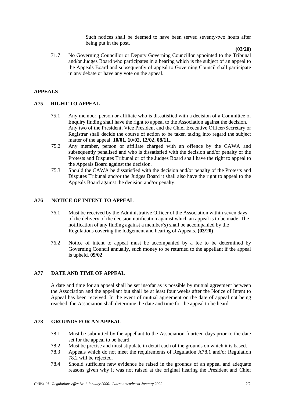Such notices shall be deemed to have been served seventy-two hours after being put in the post.

**(03/20)**

71.7 No Governing Councillor or Deputy Governing Councillor appointed to the Tribunal and/or Judges Board who participates in a hearing which is the subject of an appeal to the Appeals Board and subsequently of appeal to Governing Council shall participate in any debate or have any vote on the appeal.

# **APPEALS**

# **A75 RIGHT TO APPEAL**

- 75.1 Any member, person or affiliate who is dissatisfied with a decision of a Committee of Enquiry finding shall have the right to appeal to the Association against the decision. Any two of the President, Vice President and the Chief Executive Officer/Secretary or Registrar shall decide the course of action to be taken taking into regard the subject matter of the appeal. **10/01, 10/02, 12/02, 08/11..**
- 75.2 Any member, person or affiliate charged with an offence by the CAWA and subsequently penalised and who is dissatisfied with the decision and/or penalty of the Protests and Disputes Tribunal or of the Judges Board shall have the right to appeal to the Appeals Board against the decision.
- 75.3 Should the CAWA be dissatisfied with the decision and/or penalty of the Protests and Disputes Tribunal and/or the Judges Board it shall also have the right to appeal to the Appeals Board against the decision and/or penalty.

# **A76 NOTICE OF INTENT TO APPEAL**

- 76.1 Must be received by the Administrative Officer of the Association within seven days of the delivery of the decision notification against which an appeal is to be made. The notification of any finding against a member(s) shall be accompanied by the Regulations covering the lodgement and hearing of Appeals. **(03/20)**
- 76.2 Notice of intent to appeal must be accompanied by a fee to be determined by Governing Council annually, such money to be returned to the appellant if the appeal is upheld. **09/02**

#### **A77 DATE AND TIME OF APPEAL**

A date and time for an appeal shall be set insofar as is possible by mutual agreement between the Association and the appellant but shall be at least four weeks after the Notice of Intent to Appeal has been received. In the event of mutual agreement on the date of appeal not being reached, the Association shall determine the date and time for the appeal to be heard.

#### **A78 GROUNDS FOR AN APPEAL**

- 78.1 Must be submitted by the appellant to the Association fourteen days prior to the date set for the appeal to be heard.
- 78.2 Must be precise and must stipulate in detail each of the grounds on which it is based.
- 78.3 Appeals which do not meet the requirements of Regulation A78.1 and/or Regulation 78.2 will be rejected.
- 78.4 Should sufficient new evidence be raised in the grounds of an appeal and adequate reasons given why it was not raised at the original hearing the President and Chief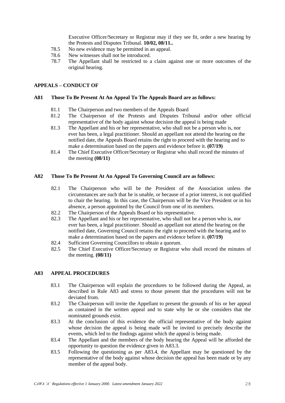Executive Officer/Secretary or Registrar may if they see fit, order a new hearing by the Protests and Disputes Tribunal. **10/02, 08/11..**

- 78.5 No new evidence may be permitted in an appeal.
- 78.6 New witnesses shall not be introduced.
- 78.7 The Appellant shall be restricted to a claim against one or more outcomes of the original hearing.

#### **APPEALS – CONDUCT OF**

#### **A81 Those To Be Present At An Appeal To The Appeals Board are as follows:**

- 81.1 The Chairperson and two members of the Appeals Board
- 81.2 The Chairperson of the Protests and Disputes Tribunal and/or other official representative of the body against whose decision the appeal is being made
- 81.3 The Appellant and his or her representative, who shall not be a person who is, nor ever has been, a legal practitioner. Should an appellant not attend the hearing on the notified date, the Appeals Board retains the right to proceed with the hearing and to make a determination based on the papers and evidence before it. **(07/19)**
- 81.4 The Chief Executive Officer/Secretary or Registrar who shall record the minutes of the meeting **(08/11)**

#### **A82 Those To Be Present At An Appeal To Governing Council are as follows:**

- 82.1 The Chairperson who will be the President of the Association unless the circumstances are such that he is unable, or because of a prior interest, is not qualified to chair the hearing. In this case, the Chairperson will be the Vice President or in his absence, a person appointed by the Council from one of its members.
- 82.2 The Chairperson of the Appeals Board or his representative.<br>82.3 The Appellant and his or her representative, who shall not be
- The Appellant and his or her representative, who shall not be a person who is, nor ever has been, a legal practitioner. Should an appellant not attend the hearing on the notified date, Governing Council retains the right to proceed with the hearing and to make a determination based on the papers and evidence before it. **(07/19)**
- 82.4 Sufficient Governing Councillors to obtain a quorum.
- 82.5 The Chief Executive Officer/Secretary or Registrar who shall record the minutes of the meeting. **(08/11)**

#### **A83 APPEAL PROCEDURES**

- 83.1 The Chairperson will explain the procedures to be followed during the Appeal, as described in Rule A83 and stress to those present that the procedures will not be deviated from.
- 83.2 The Chairperson will invite the Appellant to present the grounds of his or her appeal as contained in the written appeal and to state why he or she considers that the nominated grounds exist.
- 83.3 At the conclusion of this evidence the official representative of the body against whose decision the appeal is being made will be invited to precisely describe the events, which led to the findings against which the appeal is being made.
- 83.4 The Appellant and the members of the body hearing the Appeal will be afforded the opportunity to question the evidence given in A83.3.
- 83.5 Following the questioning as per A83.4, the Appellant may be questioned by the representative of the body against whose decision the appeal has been made or by any member of the appeal body.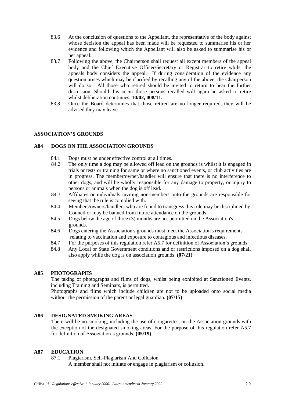- 83.6 At the conclusion of questions to the Appellant, the representative of the body against whose decision the appeal has been made will be requested to summarise his or her evidence and following which the Appellant will also be asked to summarise his or her appeal.
- 83.7 Following the above, the Chairperson shall request all except members of the appeal body and the Chief Executive Officer/Secretary or Registrar to retire whilst the appeals body considers the appeal. If during consideration of the evidence any question arises which may be clarified by recalling any of the above, the Chairperson will do so. All those who retired should be invited to return to hear the further discussion. Should this occur those persons recalled will again be asked to retire whilst deliberation continues. **10/02, 008/11.**
- 83.8 Once the Board determines that those retired are no longer required, they will be advised they may leave.

#### **ASSOCIATION'S GROUNDS**

#### **A84 DOGS ON THE ASSOCIATION GROUNDS**

- 84.1 Dogs must be under effective control at all times.
- 84.2 The only time a dog may be allowed off lead on the grounds is whilst it is engaged in trials or tests or training for same or where no sanctioned events, or club activities are in progress. The member/owner/handler will ensure that there is no interference to other dogs, and will be wholly responsible for any damage to property, or injury to persons or animals when the dog is off lead.
- 84.3 Affiliates or individuals inviting non-members onto the grounds are responsible for seeing that the rule is complied with.
- 84.4 Members/owners/handlers who are found to transgress this rule may be disciplined by Council or may be banned from future attendance on the grounds.
- 84.5 Dogs below the age of three (3) months are not permitted on the Association's grounds.
- 84.6 Dogs entering the Association's grounds must meet the Association's requirements relating to vaccination and exposure to contagious and infectious diseases.
- 84.7 For the purposes of this regulation refer A5.7 for definition of Association's grounds.
- 84.8 Any Local or State Government conditions and or restrictions imposed on a dog shall also apply while the dog is on association grounds. **(07/21)**

#### **A85 PHOTOGRAPHS**

The taking of photographs and films of dogs, whilst being exhibited at Sanctioned Events, including Training and Seminars, is permitted.

Photographs and films which include children are not to be uploaded onto social media without the permission of the parent or legal guardian. **(07/15)**

#### **A86 DESIGNATED SMOKING AREAS**

There will be no smoking, including the use of e-cigarettes, on the Association grounds with the exception of the designated smoking areas. For the purpose of this regulation refer A5.7 for definition of Association's grounds. **(05/19)**

#### **A87 EDUCATION**

87.1 Plagiarism, Self-Plagiarism And Collusion

A member shall not initiate or engage in plagiarism or collusion.